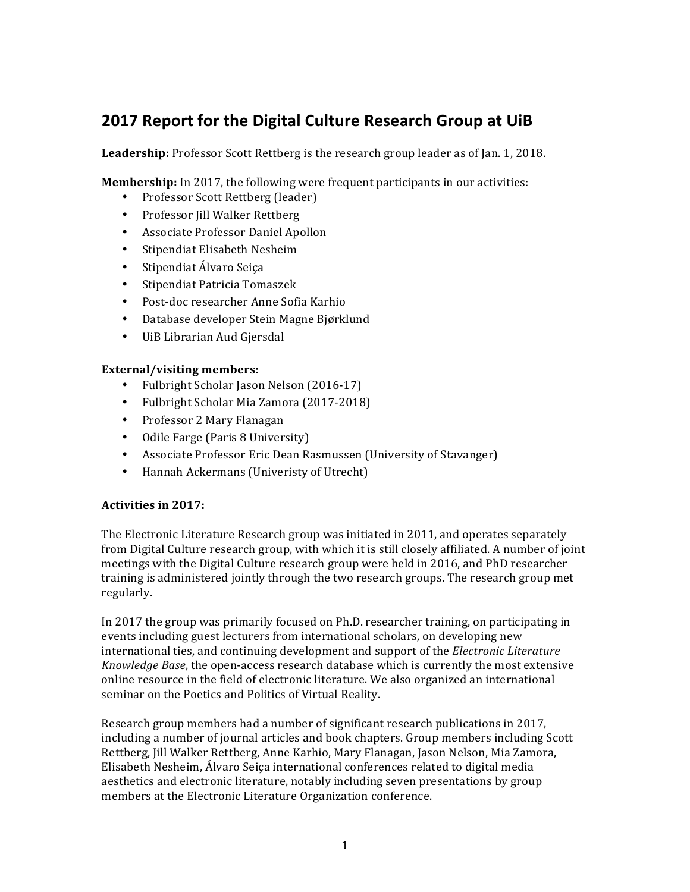# **2017 Report for the Digital Culture Research Group at UiB**

Leadership: Professor Scott Rettberg is the research group leader as of Jan. 1, 2018.

**Membership:** In 2017, the following were frequent participants in our activities:

- Professor Scott Rettberg (leader)
- Professor Jill Walker Rettberg
- Associate Professor Daniel Apollon
- Stipendiat Elisabeth Nesheim
- Stipendiat Álvaro Seiça
- Stipendiat Patricia Tomaszek
- Post-doc researcher Anne Sofia Karhio
- Database developer Stein Magne Bjørklund
- UiB Librarian Aud Giersdal

## External/visiting members:

- Fulbright Scholar Jason Nelson (2016-17)
- Fulbright Scholar Mia Zamora (2017-2018)
- Professor 2 Mary Flanagan
- Odile Farge (Paris 8 University)
- Associate Professor Eric Dean Rasmussen (University of Stavanger)
- Hannah Ackermans (Univeristy of Utrecht)

## Activities in 2017:

The Electronic Literature Research group was initiated in 2011, and operates separately from Digital Culture research group, with which it is still closely affiliated. A number of joint meetings with the Digital Culture research group were held in 2016, and PhD researcher training is administered jointly through the two research groups. The research group met regularly. 

In 2017 the group was primarily focused on Ph.D. researcher training, on participating in events including guest lecturers from international scholars, on developing new international ties, and continuing development and support of the *Electronic Literature Knowledge Base*, the open-access research database which is currently the most extensive online resource in the field of electronic literature. We also organized an international seminar on the Poetics and Politics of Virtual Reality.

Research group members had a number of significant research publications in 2017, including a number of journal articles and book chapters. Group members including Scott Rettberg, Jill Walker Rettberg, Anne Karhio, Mary Flanagan, Jason Nelson, Mia Zamora, Elisabeth Nesheim, Álvaro Seiça international conferences related to digital media aesthetics and electronic literature, notably including seven presentations by group members at the Electronic Literature Organization conference.